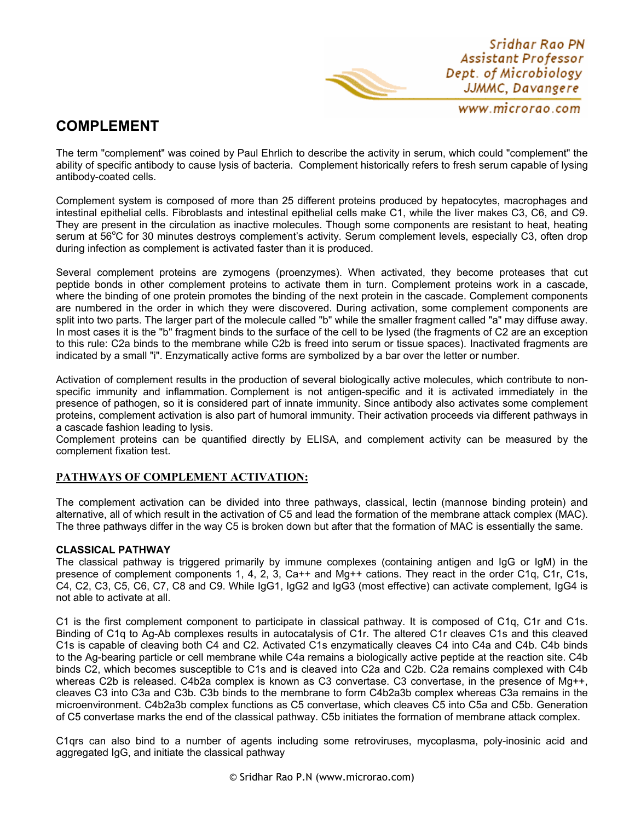Sridhar Rao PN Assistant Professor Dept. of Microbiology JJMMC, Davangere

www.microrao.com

# **COMPLEMENT**

The term "complement" was coined by Paul Ehrlich to describe the activity in serum, which could "complement" the ability of specific antibody to cause lysis of bacteria. Complement historically refers to fresh serum capable of lysing antibody-coated cells.

Complement system is composed of more than 25 different proteins produced by hepatocytes, macrophages and intestinal epithelial cells. Fibroblasts and intestinal epithelial cells make C1, while the liver makes C3, C6, and C9. They are present in the circulation as inactive molecules. Though some components are resistant to heat, heating serum at 56°C for 30 minutes destroys complement's activity. Serum complement levels, especially C3, often drop during infection as complement is activated faster than it is produced.

Several complement proteins are zymogens (proenzymes). When activated, they become proteases that cut peptide bonds in other complement proteins to activate them in turn. Complement proteins work in a cascade, where the binding of one protein promotes the binding of the next protein in the cascade. Complement components are numbered in the order in which they were discovered. During activation, some complement components are split into two parts. The larger part of the molecule called "b" while the smaller fragment called "a" may diffuse away. In most cases it is the "b" fragment binds to the surface of the cell to be lysed (the fragments of C2 are an exception to this rule: C2a binds to the membrane while C2b is freed into serum or tissue spaces). Inactivated fragments are indicated by a small "i". Enzymatically active forms are symbolized by a bar over the letter or number.

Activation of complement results in the production of several biologically active molecules, which contribute to nonspecific immunity and inflammation. Complement is not antigen-specific and it is activated immediately in the presence of pathogen, so it is considered part of innate immunity. Since antibody also activates some complement proteins, complement activation is also part of humoral immunity. Their activation proceeds via different pathways in a cascade fashion leading to lysis.

Complement proteins can be quantified directly by ELISA, and complement activity can be measured by the complement fixation test.

### **PATHWAYS OF COMPLEMENT ACTIVATION:**

The complement activation can be divided into three pathways, classical, lectin (mannose binding protein) and alternative, all of which result in the activation of C5 and lead the formation of the membrane attack complex (MAC). The three pathways differ in the way C5 is broken down but after that the formation of MAC is essentially the same.

### **CLASSICAL PATHWAY**

The classical pathway is triggered primarily by immune complexes (containing antigen and IgG or IgM) in the presence of complement components 1, 4, 2, 3, Ca++ and Mg++ cations. They react in the order C1q, C1r, C1s, C4, C2, C3, C5, C6, C7, C8 and C9. While IgG1, IgG2 and IgG3 (most effective) can activate complement, IgG4 is not able to activate at all.

C1 is the first complement component to participate in classical pathway. It is composed of C1q, C1r and C1s. Binding of C1q to Ag-Ab complexes results in autocatalysis of C1r. The altered C1r cleaves C1s and this cleaved C1s is capable of cleaving both C4 and C2. Activated C1s enzymatically cleaves C4 into C4a and C4b. C4b binds to the Ag-bearing particle or cell membrane while C4a remains a biologically active peptide at the reaction site. C4b binds C2, which becomes susceptible to C1s and is cleaved into C2a and C2b. C2a remains complexed with C4b whereas C2b is released. C4b2a complex is known as C3 convertase. C3 convertase, in the presence of Mq++. cleaves C3 into C3a and C3b. C3b binds to the membrane to form C4b2a3b complex whereas C3a remains in the microenvironment. C4b2a3b complex functions as C5 convertase, which cleaves C5 into C5a and C5b. Generation of C5 convertase marks the end of the classical pathway. C5b initiates the formation of membrane attack complex.

C1qrs can also bind to a number of agents including some retroviruses, mycoplasma, poly-inosinic acid and aggregated IgG, and initiate the classical pathway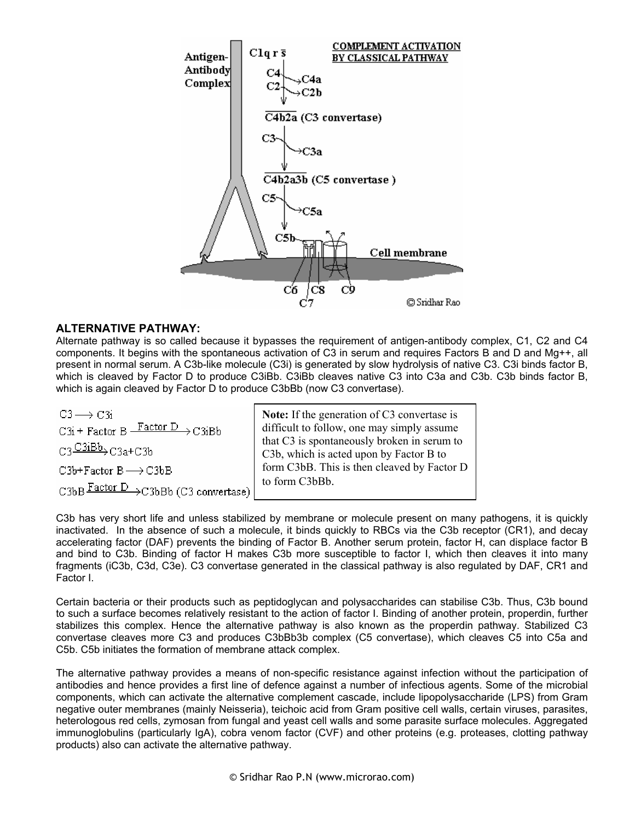

### **ALTERNATIVE PATHWAY:**

Alternate pathway is so called because it bypasses the requirement of antigen-antibody complex, C1, C2 and C4 components. It begins with the spontaneous activation of C3 in serum and requires Factors B and D and Mg++, all present in normal serum. A C3b-like molecule (C3i) is generated by slow hydrolysis of native C3. C3i binds factor B, which is cleaved by Factor D to produce C3iBb. C3iBb cleaves native C3 into C3a and C3b. C3b binds factor B, which is again cleaved by Factor D to produce C3bBb (now C3 convertase).

 $C3 \rightarrow C3i$  $\text{C3i} + \text{Factor B} \xrightarrow{\text{Factor D}} \text{C3iBb}$  $C3 \frac{C3iBb}{D}C3a+C3b$  $C3b + Factor B \longrightarrow C3bB$ C3bB Factor D > C3bBb (C3 convertase)

**Note:** If the generation of C3 convertase is difficult to follow, one may simply assume that C3 is spontaneously broken in serum to C3b, which is acted upon by Factor B to form C3bB. This is then cleaved by Factor D to form C3bBb.

C3b has very short life and unless stabilized by membrane or molecule present on many pathogens, it is quickly inactivated. In the absence of such a molecule, it binds quickly to RBCs via the C3b receptor (CR1), and decay accelerating factor (DAF) prevents the binding of Factor B. Another serum protein, factor H, can displace factor B and bind to C3b. Binding of factor H makes C3b more susceptible to factor I, which then cleaves it into many fragments (iC3b, C3d, C3e). C3 convertase generated in the classical pathway is also regulated by DAF, CR1 and Factor I.

Certain bacteria or their products such as peptidoglycan and polysaccharides can stabilise C3b. Thus, C3b bound to such a surface becomes relatively resistant to the action of factor I. Binding of another protein, properdin, further stabilizes this complex. Hence the alternative pathway is also known as the properdin pathway. Stabilized C3 convertase cleaves more C3 and produces C3bBb3b complex (C5 convertase), which cleaves C5 into C5a and C5b. C5b initiates the formation of membrane attack complex.

The alternative pathway provides a means of non-specific resistance against infection without the participation of antibodies and hence provides a first line of defence against a number of infectious agents. Some of the microbial components, which can activate the alternative complement cascade, include lipopolysaccharide (LPS) from Gram negative outer membranes (mainly Neisseria), teichoic acid from Gram positive cell walls, certain viruses, parasites, heterologous red cells, zymosan from fungal and yeast cell walls and some parasite surface molecules. Aggregated immunoglobulins (particularly IgA), cobra venom factor (CVF) and other proteins (e.g. proteases, clotting pathway products) also can activate the alternative pathway.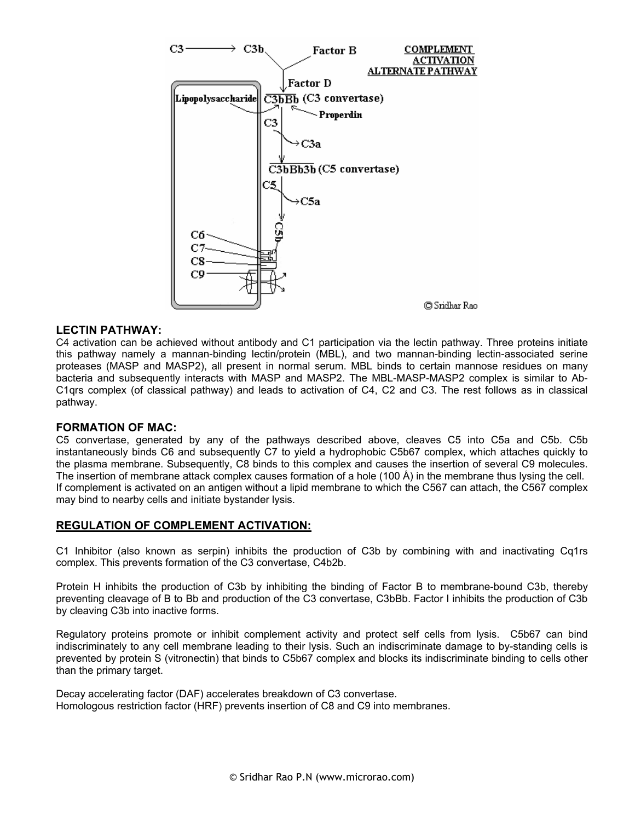

#### **LECTIN PATHWAY:**

C4 activation can be achieved without antibody and C1 participation via the lectin pathway. Three proteins initiate this pathway namely a mannan-binding lectin/protein (MBL), and two mannan-binding lectin-associated serine proteases (MASP and MASP2), all present in normal serum. MBL binds to certain mannose residues on many bacteria and subsequently interacts with MASP and MASP2. The MBL-MASP-MASP2 complex is similar to Ab-C1qrs complex (of classical pathway) and leads to activation of C4, C2 and C3. The rest follows as in classical pathway.

#### **FORMATION OF MAC:**

C5 convertase, generated by any of the pathways described above, cleaves C5 into C5a and C5b. C5b instantaneously binds C6 and subsequently C7 to yield a hydrophobic C5b67 complex, which attaches quickly to the plasma membrane. Subsequently, C8 binds to this complex and causes the insertion of several C9 molecules. The insertion of membrane attack complex causes formation of a hole (100 Å) in the membrane thus lysing the cell. If complement is activated on an antigen without a lipid membrane to which the C567 can attach, the C567 complex may bind to nearby cells and initiate bystander lysis.

### **REGULATION OF COMPLEMENT ACTIVATION:**

C1 Inhibitor (also known as serpin) inhibits the production of C3b by combining with and inactivating Cq1rs complex. This prevents formation of the C3 convertase, C4b2b.

Protein H inhibits the production of C3b by inhibiting the binding of Factor B to membrane-bound C3b, thereby preventing cleavage of B to Bb and production of the C3 convertase, C3bBb. Factor I inhibits the production of C3b by cleaving C3b into inactive forms.

Regulatory proteins promote or inhibit complement activity and protect self cells from lysis. C5b67 can bind indiscriminately to any cell membrane leading to their lysis. Such an indiscriminate damage to by-standing cells is prevented by protein S (vitronectin) that binds to C5b67 complex and blocks its indiscriminate binding to cells other than the primary target.

Decay accelerating factor (DAF) accelerates breakdown of C3 convertase. Homologous restriction factor (HRF) prevents insertion of C8 and C9 into membranes.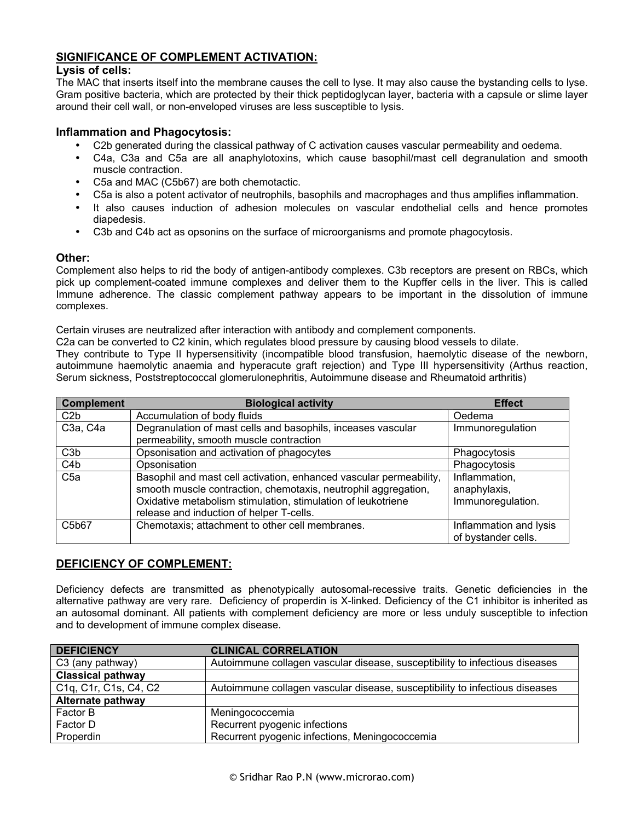### **SIGNIFICANCE OF COMPLEMENT ACTIVATION:**

### **Lysis of cells:**

The MAC that inserts itself into the membrane causes the cell to lyse. It may also cause the bystanding cells to lyse. Gram positive bacteria, which are protected by their thick peptidoglycan layer, bacteria with a capsule or slime layer around their cell wall, or non-enveloped viruses are less susceptible to lysis.

### **Inflammation and Phagocytosis:**

- C2b generated during the classical pathway of C activation causes vascular permeability and oedema.
- C4a, C3a and C5a are all anaphylotoxins, which cause basophil/mast cell degranulation and smooth muscle contraction.
- C5a and MAC (C5b67) are both chemotactic.
- C5a is also a potent activator of neutrophils, basophils and macrophages and thus amplifies inflammation.
- It also causes induction of adhesion molecules on vascular endothelial cells and hence promotes diapedesis.
- C3b and C4b act as opsonins on the surface of microorganisms and promote phagocytosis.

#### **Other:**

Complement also helps to rid the body of antigen-antibody complexes. C3b receptors are present on RBCs, which pick up complement-coated immune complexes and deliver them to the Kupffer cells in the liver. This is called Immune adherence. The classic complement pathway appears to be important in the dissolution of immune complexes.

Certain viruses are neutralized after interaction with antibody and complement components.

C2a can be converted to C2 kinin, which regulates blood pressure by causing blood vessels to dilate.

They contribute to Type II hypersensitivity (incompatible blood transfusion, haemolytic disease of the newborn, autoimmune haemolytic anaemia and hyperacute graft rejection) and Type III hypersensitivity (Arthus reaction, Serum sickness, Poststreptococcal glomerulonephritis, Autoimmune disease and Rheumatoid arthritis)

| <b>Complement</b>                 | <b>Biological activity</b>                                                                                                                                                                                                                       | <b>Effect</b>                                      |
|-----------------------------------|--------------------------------------------------------------------------------------------------------------------------------------------------------------------------------------------------------------------------------------------------|----------------------------------------------------|
| C <sub>2</sub> b                  | Accumulation of body fluids                                                                                                                                                                                                                      | Oedema                                             |
| C <sub>3a</sub> , C <sub>4a</sub> | Degranulation of mast cells and basophils, inceases vascular<br>Immunoregulation<br>permeability, smooth muscle contraction                                                                                                                      |                                                    |
| C <sub>3</sub> b                  | Opsonisation and activation of phagocytes                                                                                                                                                                                                        | Phagocytosis                                       |
| C <sub>4</sub> b                  | Opsonisation                                                                                                                                                                                                                                     | Phagocytosis                                       |
| C <sub>5a</sub>                   | Basophil and mast cell activation, enhanced vascular permeability,<br>smooth muscle contraction, chemotaxis, neutrophil aggregation,<br>Oxidative metabolism stimulation, stimulation of leukotriene<br>release and induction of helper T-cells. | Inflammation,<br>anaphylaxis,<br>Immunoregulation. |
| C5b67                             | Chemotaxis; attachment to other cell membranes.                                                                                                                                                                                                  | Inflammation and lysis<br>of bystander cells.      |

### **DEFICIENCY OF COMPLEMENT:**

Deficiency defects are transmitted as phenotypically autosomal-recessive traits. Genetic deficiencies in the alternative pathway are very rare. Deficiency of properdin is X-linked. Deficiency of the C1 inhibitor is inherited as an autosomal dominant. All patients with complement deficiency are more or less unduly susceptible to infection and to development of immune complex disease.

| <b>DEFICIENCY</b>                                                                     | <b>CLINICAL CORRELATION</b>                                                 |
|---------------------------------------------------------------------------------------|-----------------------------------------------------------------------------|
| C3 (any pathway)                                                                      | Autoimmune collagen vascular disease, susceptibility to infectious diseases |
| <b>Classical pathway</b>                                                              |                                                                             |
| C <sub>1</sub> q, C <sub>1</sub> r, C <sub>1s</sub> , C <sub>4</sub> , C <sub>2</sub> | Autoimmune collagen vascular disease, susceptibility to infectious diseases |
| <b>Alternate pathway</b>                                                              |                                                                             |
| Factor B                                                                              | Meningococcemia                                                             |
| Factor D                                                                              | Recurrent pyogenic infections                                               |
| Properdin                                                                             | Recurrent pyogenic infections, Meningococcemia                              |